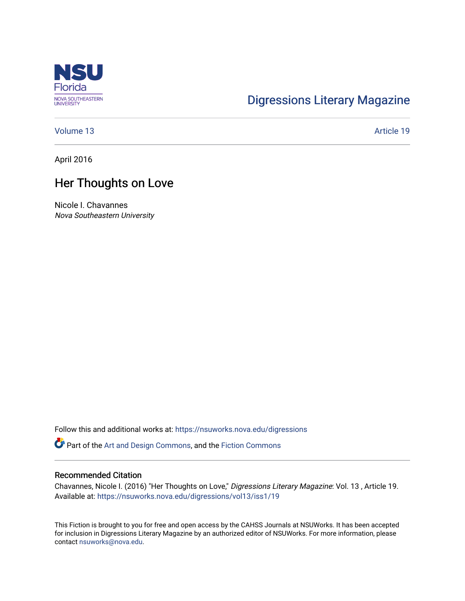

# [Digressions Literary Magazine](https://nsuworks.nova.edu/digressions)

[Volume 13](https://nsuworks.nova.edu/digressions/vol13) Article 19

April 2016

## Her Thoughts on Love

Nicole I. Chavannes Nova Southeastern University

Follow this and additional works at: [https://nsuworks.nova.edu/digressions](https://nsuworks.nova.edu/digressions?utm_source=nsuworks.nova.edu%2Fdigressions%2Fvol13%2Fiss1%2F19&utm_medium=PDF&utm_campaign=PDFCoverPages) 

Part of the [Art and Design Commons](http://network.bepress.com/hgg/discipline/1049?utm_source=nsuworks.nova.edu%2Fdigressions%2Fvol13%2Fiss1%2F19&utm_medium=PDF&utm_campaign=PDFCoverPages), and the [Fiction Commons](http://network.bepress.com/hgg/discipline/1151?utm_source=nsuworks.nova.edu%2Fdigressions%2Fvol13%2Fiss1%2F19&utm_medium=PDF&utm_campaign=PDFCoverPages)

#### Recommended Citation

Chavannes, Nicole I. (2016) "Her Thoughts on Love," Digressions Literary Magazine: Vol. 13 , Article 19. Available at: [https://nsuworks.nova.edu/digressions/vol13/iss1/19](https://nsuworks.nova.edu/digressions/vol13/iss1/19?utm_source=nsuworks.nova.edu%2Fdigressions%2Fvol13%2Fiss1%2F19&utm_medium=PDF&utm_campaign=PDFCoverPages)

This Fiction is brought to you for free and open access by the CAHSS Journals at NSUWorks. It has been accepted for inclusion in Digressions Literary Magazine by an authorized editor of NSUWorks. For more information, please contact [nsuworks@nova.edu.](mailto:nsuworks@nova.edu)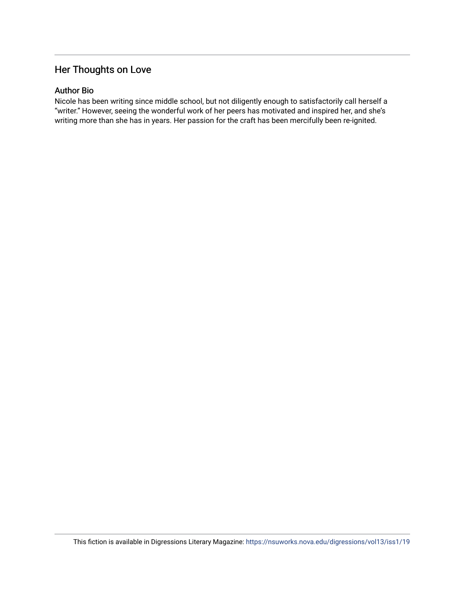## Her Thoughts on Love

### Author Bio

Nicole has been writing since middle school, but not diligently enough to satisfactorily call herself a "writer." However, seeing the wonderful work of her peers has motivated and inspired her, and she's writing more than she has in years. Her passion for the craft has been mercifully been re-ignited.